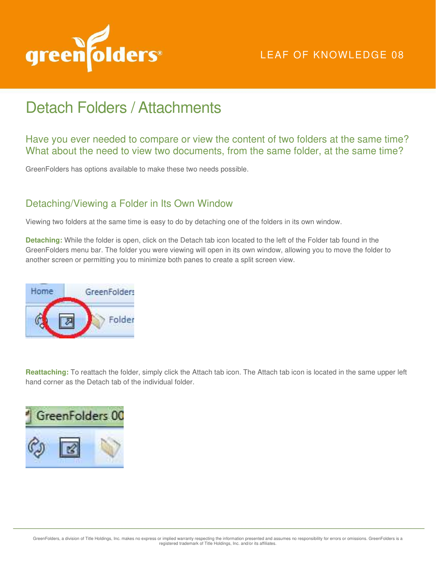

## Detach Folders / Attachments

Have you ever needed to compare or view the content of two folders at the same time? What about the need to view two documents, from the same folder, at the same time?

GreenFolders has options available to make these two needs possible.

## Detaching/Viewing a Folder in Its Own Window

Viewing two folders at the same time is easy to do by detaching one of the folders in its own window.

**Detaching:** While the folder is open, click on the Detach tab icon located to the left of the Folder tab found in the GreenFolders menu bar. The folder you were viewing will open in its own window, allowing you to move the folder to another screen or permitting you to minimize both panes to create a split screen view.



**Reattaching:** To reattach the folder, simply click the Attach tab icon. The Attach tab icon is located in the same upper left hand corner as the Detach tab of the individual folder.